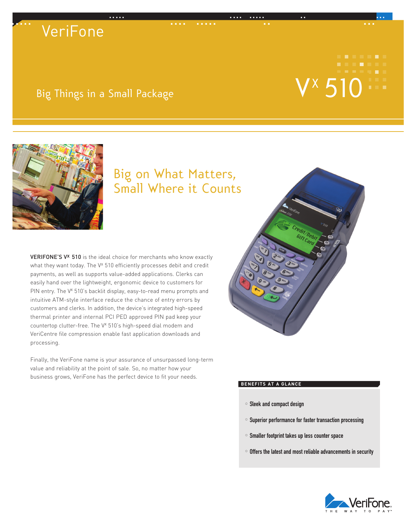# ..... .... ..... .. ... ..... .... ..... .. ... **VeriFone**

# Vx

## Big Things in a Small Package



## Big on What Matters, Small Where it Counts

VERIFONE'S V<sup>x</sup> 510 is the ideal choice for merchants who know exactly what they want today. The V<sup>x</sup> 510 efficiently processes debit and credit payments, as well as supports value-added applications. Clerks can easily hand over the lightweight, ergonomic device to customers for PIN entry. The V<sup>x</sup> 510's backlit display, easy-to-read menu prompts and intuitive ATM-style interface reduce the chance of entry errors by customers and clerks. In addition, the device's integrated high-speed thermal printer and internal PCI PED approved PIN pad keep your countertop clutter-free. The V<sup>x</sup> 510's high-speed dial modem and VeriCentre file compression enable fast application downloads and processing.

Finally, the VeriFone name is your assurance of unsurpassed long-term value and reliability at the point of sale. So, no matter how your business grows, VeriFone has the perfect device to fit your needs.



#### **BENEFITS** AT A GLANCE

- $\circ$  Sleek and compact design
- $\circ$  Superior performance for faster transaction processing
- $\circ$  Smaller footprint takes up less counter space
- $\circ$  Offers the latest and most reliable advancements in security